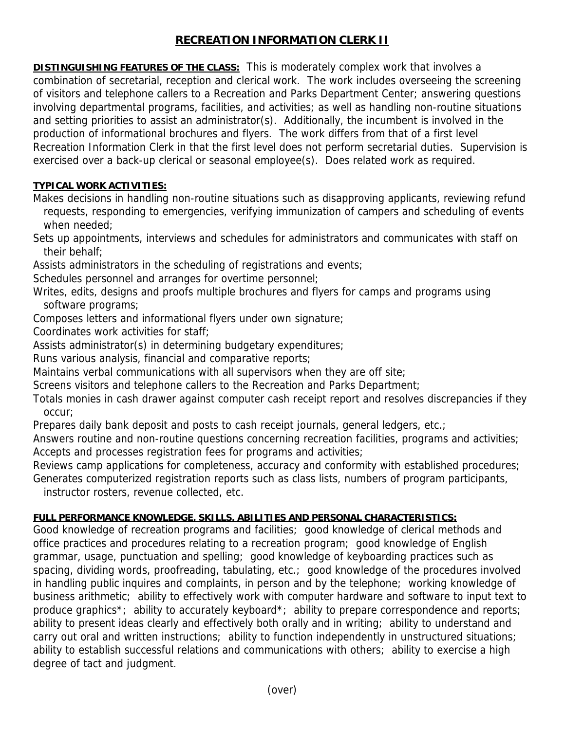## **RECREATION INFORMATION CLERK II**

**DISTINGUISHING FEATURES OF THE CLASS:** This is moderately complex work that involves a combination of secretarial, reception and clerical work. The work includes overseeing the screening of visitors and telephone callers to a Recreation and Parks Department Center; answering questions involving departmental programs, facilities, and activities; as well as handling non-routine situations and setting priorities to assist an administrator(s). Additionally, the incumbent is involved in the production of informational brochures and flyers. The work differs from that of a first level Recreation Information Clerk in that the first level does not perform secretarial duties. Supervision is exercised over a back-up clerical or seasonal employee(s). Does related work as required.

## **TYPICAL WORK ACTIVITIES:**

Makes decisions in handling non-routine situations such as disapproving applicants, reviewing refund requests, responding to emergencies, verifying immunization of campers and scheduling of events when needed;

Sets up appointments, interviews and schedules for administrators and communicates with staff on their behalf;

Assists administrators in the scheduling of registrations and events;

Schedules personnel and arranges for overtime personnel;

Writes, edits, designs and proofs multiple brochures and flyers for camps and programs using software programs;

Composes letters and informational flyers under own signature;

Coordinates work activities for staff;

Assists administrator(s) in determining budgetary expenditures;

Runs various analysis, financial and comparative reports;

Maintains verbal communications with all supervisors when they are off site;

Screens visitors and telephone callers to the Recreation and Parks Department;

Totals monies in cash drawer against computer cash receipt report and resolves discrepancies if they occur;

Prepares daily bank deposit and posts to cash receipt journals, general ledgers, etc.;

Answers routine and non-routine questions concerning recreation facilities, programs and activities; Accepts and processes registration fees for programs and activities;

Reviews camp applications for completeness, accuracy and conformity with established procedures; Generates computerized registration reports such as class lists, numbers of program participants,

instructor rosters, revenue collected, etc.

## **FULL PERFORMANCE KNOWLEDGE, SKILLS, ABILITIES AND PERSONAL CHARACTERISTICS:**

Good knowledge of recreation programs and facilities; good knowledge of clerical methods and office practices and procedures relating to a recreation program; good knowledge of English grammar, usage, punctuation and spelling; good knowledge of keyboarding practices such as spacing, dividing words, proofreading, tabulating, etc.; good knowledge of the procedures involved in handling public inquires and complaints, in person and by the telephone; working knowledge of business arithmetic; ability to effectively work with computer hardware and software to input text to produce graphics<sup>\*</sup>; ability to accurately keyboard<sup>\*</sup>; ability to prepare correspondence and reports; ability to present ideas clearly and effectively both orally and in writing; ability to understand and carry out oral and written instructions; ability to function independently in unstructured situations; ability to establish successful relations and communications with others; ability to exercise a high degree of tact and judgment.